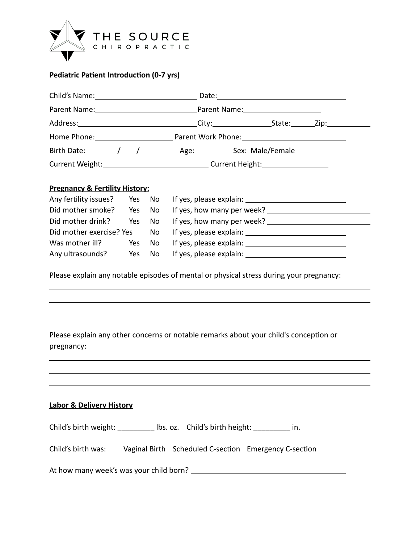

### **Pediatric Patient Introduction (0-7 yrs)**

| Child's Name: 1988                                                               |                                      |  |
|----------------------------------------------------------------------------------|--------------------------------------|--|
|                                                                                  | Parent Name:________________________ |  |
|                                                                                  |                                      |  |
| Home Phone: Parent Work Phone: Parent Work Phone:                                |                                      |  |
|                                                                                  |                                      |  |
| Current Weight:________________________________Current Height:__________________ |                                      |  |
|                                                                                  |                                      |  |

#### **Pregnancy & Fertility History:**

| Any fertility issues? Yes No |        |    | If yes, please explain: <u>contained</u> |
|------------------------------|--------|----|------------------------------------------|
| Did mother smoke?            | Yes No |    | If yes, how many per week?               |
| Did mother drink?            | Yes No |    | If yes, how many per week?               |
| Did mother exercise? Yes No  |        |    |                                          |
| Was mother ill?              | Yes    | No |                                          |
| Any ultrasounds?             | Yes    | No | If yes, please explain:                  |

Please explain any notable episodes of mental or physical stress during your pregnancy:

## Please explain any other concerns or notable remarks about your child's conception or pregnancy:

#### **Labor & Delivery History**

| Child's birth weight: | Ibs. oz. Child's birth height: |  |
|-----------------------|--------------------------------|--|
|-----------------------|--------------------------------|--|

| Child's birth was: | Vaginal Birth Scheduled C-section Emergency C-section |  |
|--------------------|-------------------------------------------------------|--|
|                    |                                                       |  |

| At how many week's was your child born? |  |
|-----------------------------------------|--|
|                                         |  |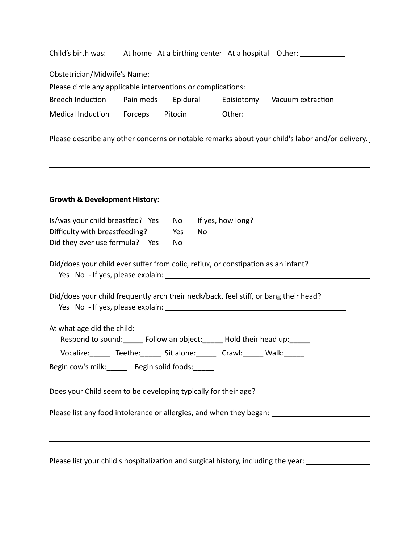|                                                                                      |                                                                                  | Child's birth was: At home At a birthing center At a hospital Other:                                 |
|--------------------------------------------------------------------------------------|----------------------------------------------------------------------------------|------------------------------------------------------------------------------------------------------|
|                                                                                      |                                                                                  |                                                                                                      |
| Please circle any applicable interventions or complications:                         |                                                                                  |                                                                                                      |
| Breech Induction Pain meds Epidural                                                  |                                                                                  | Episiotomy Vacuum extraction                                                                         |
| Medical Induction Forceps Pitocin Other:                                             |                                                                                  |                                                                                                      |
|                                                                                      |                                                                                  | Please describe any other concerns or notable remarks about your child's labor and/or delivery.      |
| <b>Growth &amp; Development History:</b>                                             | ,我们也不能在这里的时候,我们也不能在这里的时候,我们也不能会在这里的时候,我们也不能会在这里的时候,我们也不能会在这里的时候,我们也不能会在这里的时候,我们也 | <u> 1989 - John Stoff, amerikansk politiker (* 1989)</u>                                             |
| Is/was your child breastfed? Yes                                                     | No l                                                                             |                                                                                                      |
| Difficulty with breastfeeding?                                                       | No<br>Yes                                                                        |                                                                                                      |
| Did they ever use formula? Yes                                                       | No                                                                               |                                                                                                      |
| Did/does your child ever suffer from colic, reflux, or constipation as an infant?    |                                                                                  |                                                                                                      |
| Did/does your child frequently arch their neck/back, feel stiff, or bang their head? |                                                                                  |                                                                                                      |
| At what age did the child:                                                           |                                                                                  |                                                                                                      |
| Respond to sound: ______ Follow an object: ______ Hold their head up: ______         |                                                                                  |                                                                                                      |
| Vocalize: Teethe: Sit alone: Crawl: Walk: ____                                       |                                                                                  |                                                                                                      |
| Begin cow's milk: ______ Begin solid foods: _____                                    |                                                                                  |                                                                                                      |
|                                                                                      |                                                                                  |                                                                                                      |
|                                                                                      |                                                                                  | Please list any food intolerance or allergies, and when they began: ________________________________ |
|                                                                                      |                                                                                  |                                                                                                      |
|                                                                                      |                                                                                  | Please list your child's hospitalization and surgical history, including the year: ________________  |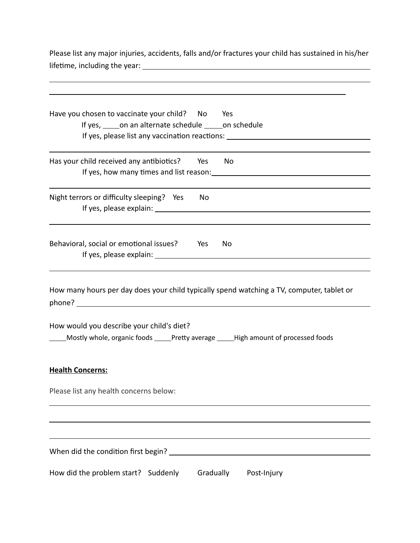Please list any major injuries, accidents, falls and/or fractures your child has sustained in his/her lifetime, including the year:

| Have you chosen to vaccinate your child? No Yes<br>If yes, some an alternate schedule some schedule<br>If yes, please list any vaccination reactions: _________________________________ |
|-----------------------------------------------------------------------------------------------------------------------------------------------------------------------------------------|
|                                                                                                                                                                                         |
| Has your child received any antibiotics? Yes No                                                                                                                                         |
| Night terrors or difficulty sleeping? Yes<br>No                                                                                                                                         |
|                                                                                                                                                                                         |
| Behavioral, social or emotional issues? Yes No                                                                                                                                          |
|                                                                                                                                                                                         |
| How many hours per day does your child typically spend watching a TV, computer, tablet or                                                                                               |
| How would you describe your child's diet?<br>Mostly whole, organic foods _____Pretty average _____High amount of processed foods                                                        |
| <b>Health Concerns:</b>                                                                                                                                                                 |
| Please list any health concerns below:                                                                                                                                                  |
|                                                                                                                                                                                         |
|                                                                                                                                                                                         |
|                                                                                                                                                                                         |
| When did the condition first begin?                                                                                                                                                     |
| How did the problem start? Suddenly<br>Gradually<br>Post-Injury                                                                                                                         |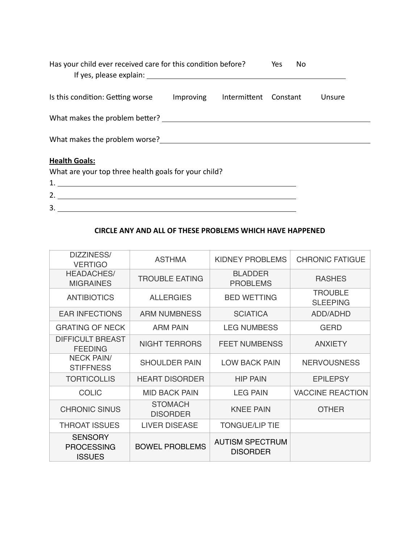| Has your child ever received care for this condition before?<br>If yes, please explain: The contract of the contract of the contract of the contract of the contract of the contract of the contract of the contract of the contract of the contract of the contract of the contract of the co |           |              | Yes<br>No |        |
|------------------------------------------------------------------------------------------------------------------------------------------------------------------------------------------------------------------------------------------------------------------------------------------------|-----------|--------------|-----------|--------|
| Is this condition: Getting worse                                                                                                                                                                                                                                                               | Improving | Intermittent | Constant  | Unsure |
| What makes the problem better?                                                                                                                                                                                                                                                                 |           |              |           |        |
| What makes the problem worse?                                                                                                                                                                                                                                                                  |           |              |           |        |
| <b>Health Goals:</b><br>What are your top three health goals for your child?                                                                                                                                                                                                                   |           |              |           |        |

1. 2. 3.

#### **CIRCLE ANY AND ALL OF THESE PROBLEMS WHICH HAVE HAPPENED**

| DIZZINESS/<br><b>VERTIGO</b>                         | <b>ASTHMA</b>                     | <b>KIDNEY PROBLEMS</b>                    | <b>CHRONIC FATIGUE</b>            |
|------------------------------------------------------|-----------------------------------|-------------------------------------------|-----------------------------------|
| <b>HEADACHES/</b><br><b>MIGRAINES</b>                | <b>TROUBLE EATING</b>             | <b>BLADDER</b><br><b>PROBLEMS</b>         | <b>RASHES</b>                     |
| <b>ANTIBIOTICS</b>                                   | <b>ALLERGIES</b>                  | <b>BED WETTING</b>                        | <b>TROUBLE</b><br><b>SLEEPING</b> |
| <b>EAR INFECTIONS</b>                                | <b>ARM NUMBNESS</b>               | <b>SCIATICA</b>                           | ADD/ADHD                          |
| <b>GRATING OF NECK</b>                               | <b>ARM PAIN</b>                   | <b>LEG NUMBESS</b>                        | <b>GERD</b>                       |
| <b>DIFFICULT BREAST</b><br><b>FEEDING</b>            | <b>NIGHT TERRORS</b>              | <b>FEET NUMBENSS</b>                      | <b>ANXIETY</b>                    |
| <b>NECK PAIN/</b><br><b>STIFFNESS</b>                | <b>SHOULDER PAIN</b>              | <b>LOW BACK PAIN</b>                      | <b>NERVOUSNESS</b>                |
| <b>TORTICOLLIS</b>                                   | <b>HEART DISORDER</b>             | <b>HIP PAIN</b>                           | <b>EPILEPSY</b>                   |
| <b>COLIC</b>                                         | <b>MID BACK PAIN</b>              | <b>LEG PAIN</b>                           | <b>VACCINE REACTION</b>           |
| <b>CHRONIC SINUS</b>                                 | <b>STOMACH</b><br><b>DISORDER</b> | <b>KNEE PAIN</b>                          | <b>OTHER</b>                      |
| <b>THROAT ISSUES</b>                                 | <b>LIVER DISEASE</b>              | <b>TONGUE/LIP TIE</b>                     |                                   |
| <b>SENSORY</b><br><b>PROCESSING</b><br><b>ISSUES</b> | <b>BOWEL PROBLEMS</b>             | <b>AUTISM SPECTRUM</b><br><b>DISORDER</b> |                                   |